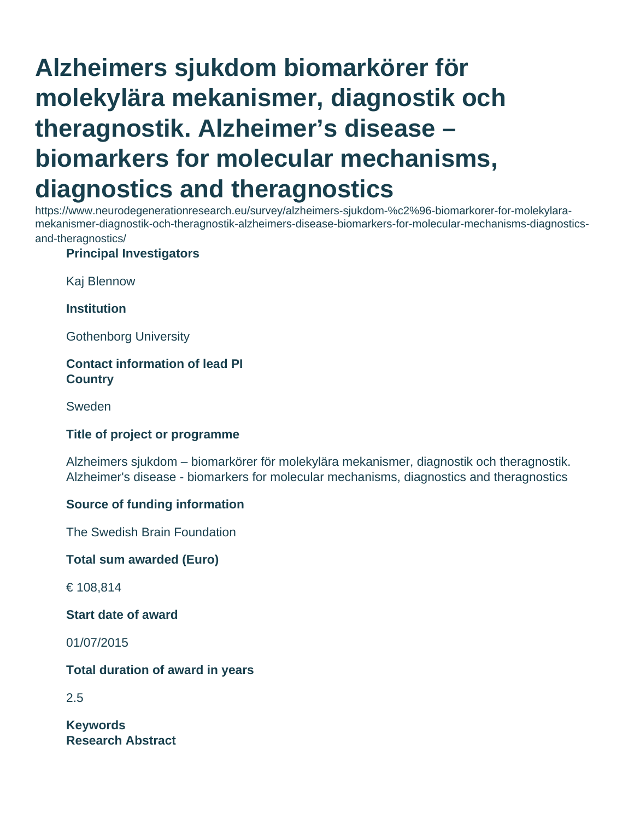# **Alzheimers sjukdom biomarkörer för molekylära mekanismer, diagnostik och theragnostik. Alzheimer's disease – biomarkers for molecular mechanisms, diagnostics and theragnostics**

https://www.neurodegenerationresearch.eu/survey/alzheimers-sjukdom-%c2%96-biomarkorer-for-molekylaramekanismer-diagnostik-och-theragnostik-alzheimers-disease-biomarkers-for-molecular-mechanisms-diagnosticsand-theragnostics/

### **Principal Investigators**

Kaj Blennow

**Institution**

Gothenborg University

### **Contact information of lead PI Country**

Sweden

### **Title of project or programme**

Alzheimers sjukdom – biomarkörer för molekylära mekanismer, diagnostik och theragnostik. Alzheimer's disease - biomarkers for molecular mechanisms, diagnostics and theragnostics

### **Source of funding information**

The Swedish Brain Foundation

**Total sum awarded (Euro)**

€ 108,814

**Start date of award**

01/07/2015

**Total duration of award in years**

2.5

**Keywords Research Abstract**